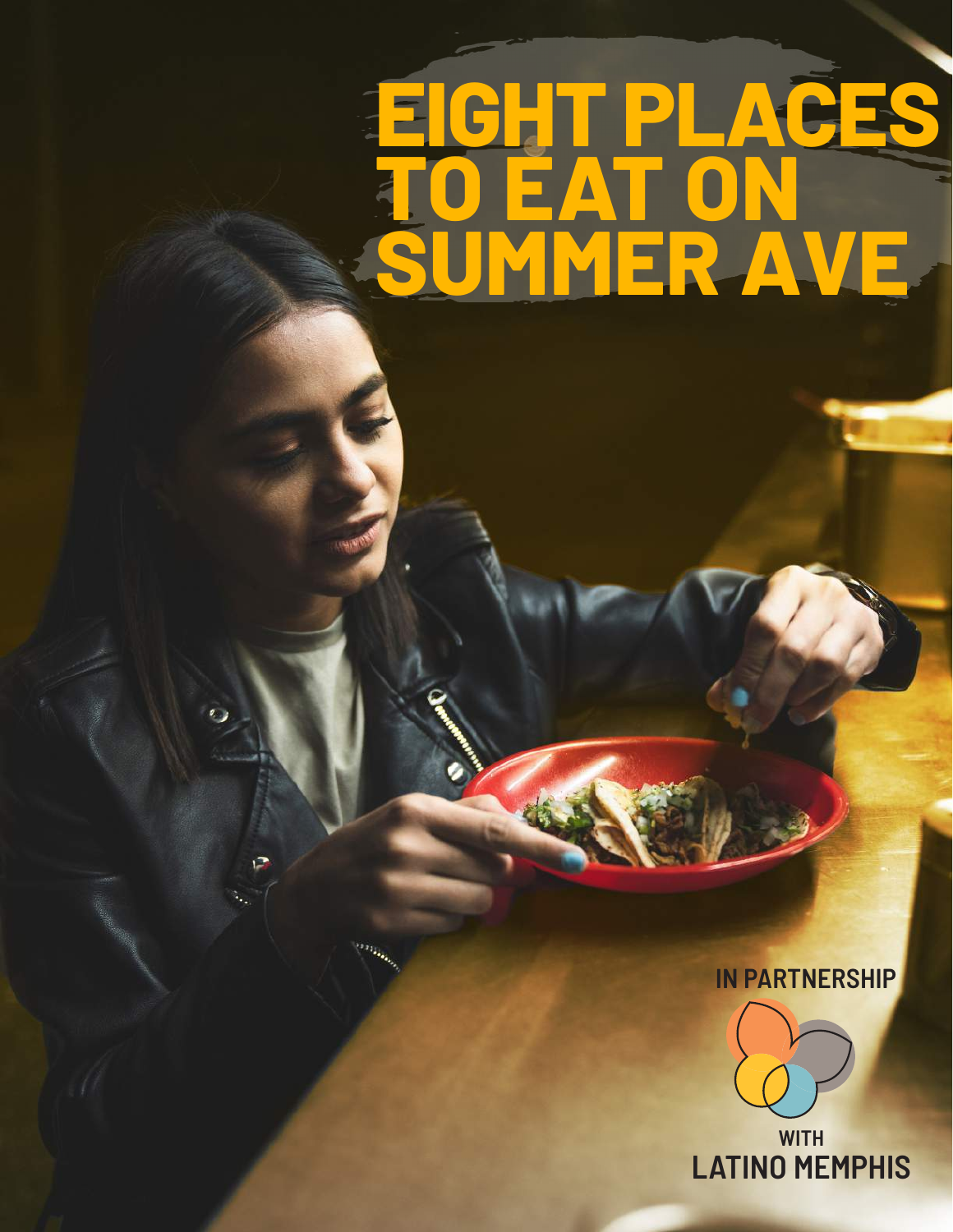# **EIGHT PLACES TO EAT ON SUMMER AVE**

 $\mathcal{L}$ 

 $\left\vert \cdots \right\rangle _{i_{k}}$ 

#### **IN PARTNERSHIP**



**WITH LATINO MEMPHIS**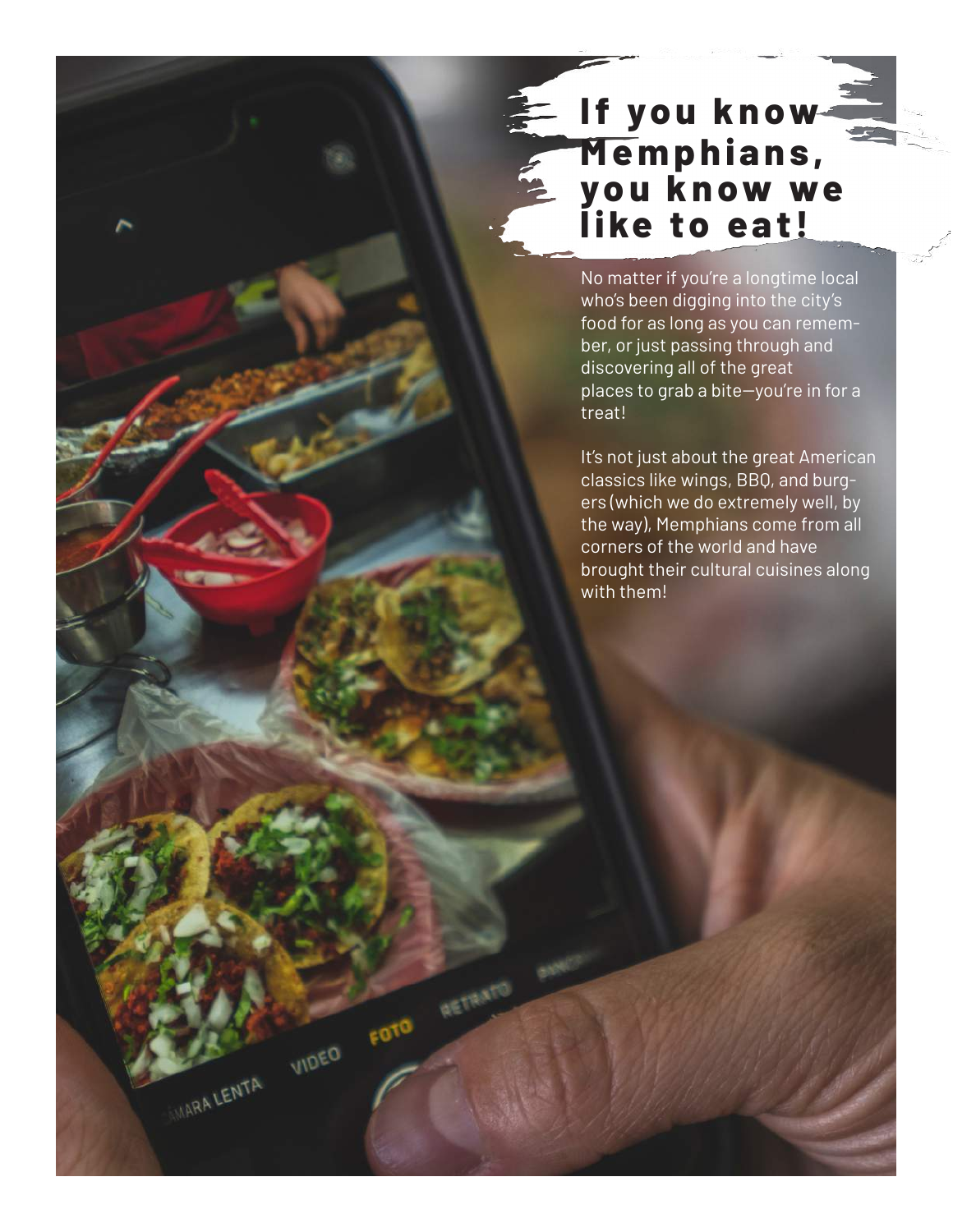#### **If you know M e m p h i a n s , yo u k n ow we like to eat!**

No matter if you're a longtime local who's been digging into the city's food for as long as you can remember, or just passing through and discovering all of the great places to grab a bite-you're in for a treat!

It's not just about the great American classics like wings, BBQ, and burgers (which we do extremely well, by the way), Memphians come from all corners of the world and have brought their cultural cuisines along with them!

FOTO RETRATO

VIDEO

WARA LENTA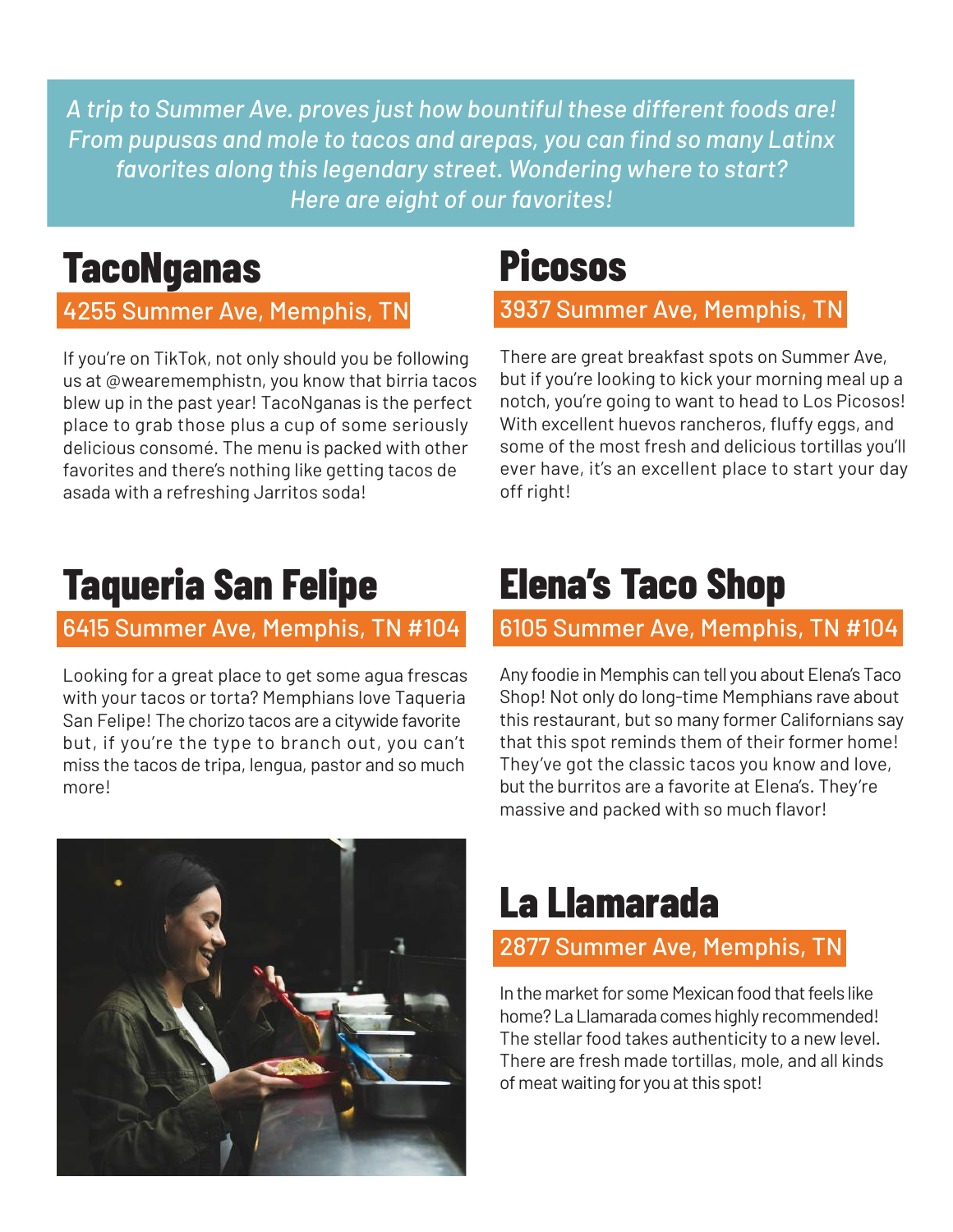*A trip to Summer Ave. proves just how bountiful these different foods are! From pupusas and mole to tacos and arepas, you can find so many Latinx favorites along this legendary street. Wondering where to start? Here are eight of our favorites!*

### **TacoNganas**

#### 4255 Summer Ave, Memphis, TN

If you're on TikTok, not only should you be following us at @wearememphistn, you know that birria tacos blew up in the past year! TacoNganas is the perfect place to grab those plus a cup of some seriously delicious consomé. The menu is packed with other favorites and there's nothing like getting tacos de asada with a refreshing Jarritos soda!

### **Picosos**

3937 Summer Ave, Memphis, TN

There are great breakfast spots on Summer Ave, but if you're looking to kick your morning meal up a notch, you're going to want to head to Los Picosos! With excellent huevos rancheros, fluffy eggs, and some of the most fresh and delicious tortillas you'll ever have, it's an excellent place to start your day off right!

### **Taqueria San Felipe**

#### 6415 Summer Ave, Memphis, TN #104

Looking for a great place to get some agua frescas with your tacos or torta? Memphians love Taqueria San Felipe! The chorizo tacos are a citywide favorite but, if you're the type to branch out, you can't miss the tacos de tripa, lengua, pastor and so much more!

### **Elena's Taco Shop**

#### 6105 Summer Ave, Memphis, TN #104

Any foodie in Memphis can tell you about Elena's Taco Shop! Not only do long-time Memphians rave about this restaurant, but so many former Californians say that this spot reminds them of their former home! They've got the classic tacos you know and love, but the burritos are a favorite at Elena's. They're massive and packed with so much flavor!



### **La Llamarada**

#### 2877 Summer Ave, Memphis, TN

In the market for some Mexican food that feels like home? La Llamarada comes highly recommended! The stellar food takes authenticity to a new level. There are fresh made tortillas, mole, and all kinds of meat waiting for you at this spot!